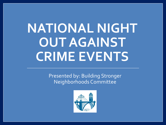# **NATIONAL NIGHT OUT AGAINST CRIME EVENTS**

Presented by: Building Stronger Neighborhoods Committee

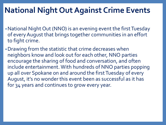#### **National Night Out Against Crime Events**

- •National Night Out (NNO) is an evening event the first Tuesday of every August that brings together communities in an effort to fight crime.
- •Drawing from the statistic that crime decreases when neighbors know and look out for each other, NNO parties encourage the sharing of food and conversation, and often include entertainment. With hundreds of NNO parties popping up all over Spokane on and around the first Tuesday of every August, it's no wonder this event been as successful as it has for 34 years and continues to grow every year.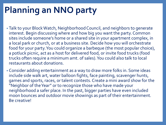## **Planning an NNO party**

- Talk to your Block Watch, Neighborhood Council, and neighbors to generate interest. Begin discussing where and how big you want the party. Common sites include someone's home or a shared site in your apartment complex, in a local park or church, or at a business site. Decide how you will orchestrate food for your party. You could organize a barbeque (the most popular choice), a potluck picnic, act as a host for delivered food, or invite food trucks (food trucks often require a minimum amt. of sales). You could also talk to local restaurants about donations.
- Consider adding entertainment as a way to draw more folks in. Some ideas include side walk art, water balloon fights, face painting, scavenger hunts, games and sports, races, or talent contests. Create a mini award show for the "Neighbor of the Year" or to recognize those who have made your neighborhood a safer place. In the past, bigger parties have even included moon bounces and outdoor movie showings as part of their entertainment. Be creative!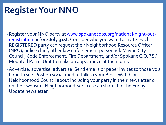### **Register Your NNO**

- [Register your NNO party at www.spokanecops.org/national-night-out](http://www.spokanecops.org/national-night-out-registration)registration before **July 31st**. Consider who you want to invite. Each REGISTERED party can request their Neighborhood Resource Officer (NRO), police chief, other law enforcement personnel, Mayor, City Council, Code Enforcement, Fire Department, and/or Spokane C.O.P.S.' Mounted Patrol Unit to make an appearance at their party.
- •Advertise, advertise, advertise. Send emails or paper invites to those you hope to see. Post on social media. Talk to your Block Watch or Neighborhood Council about including your party in their newsletter or on their website. Neighborhood Services can share it in the Friday Update newsletter.